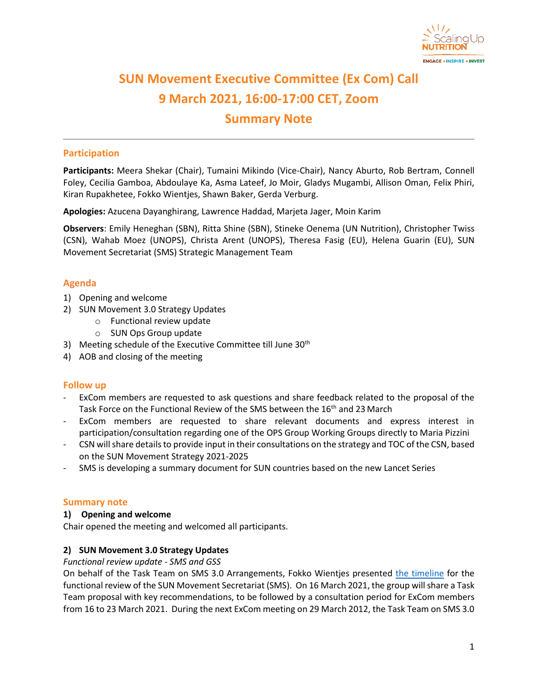

# **SUN Movement Executive Committee (Ex Com) Call 9 March 2021, 16:00-17:00 CET, Zoom Summary Note**

## **Participation**

**Participants:** Meera Shekar (Chair), Tumaini Mikindo (Vice-Chair), Nancy Aburto, Rob Bertram, Connell Foley, Cecilia Gamboa, Abdoulaye Ka, Asma Lateef, Jo Moir, Gladys Mugambi, Allison Oman, Felix Phiri, Kiran Rupakhetee, Fokko Wientjes, Shawn Baker, Gerda Verburg.

**Apologies:** Azucena Dayanghirang, Lawrence Haddad, Marjeta Jager, Moin Karim

**Observers**: Emily Heneghan (SBN), Ritta Shine (SBN), Stineke Oenema (UN Nutrition), Christopher Twiss (CSN), Wahab Moez (UNOPS), Christa Arent (UNOPS), Theresa Fasig (EU), Helena Guarin (EU), SUN Movement Secretariat (SMS) Strategic Management Team

### **Agenda**

- 1) Opening and welcome
- 2) SUN Movement 3.0 Strategy Updates
	- o Functional review update
	- o SUN Ops Group update
- 3) Meeting schedule of the Executive Committee till June 30<sup>th</sup>
- 4) AOB and closing of the meeting

#### **Follow up**

- ExCom members are requested to ask questions and share feedback related to the proposal of the Task Force on the Functional Review of the SMS between the 16<sup>th</sup> and 23 March
- ExCom members are requested to share relevant documents and express interest in participation/consultation regarding one of the OPS Group Working Groups directly to Maria Pizzini
- CSN will share details to provide input in their consultations on the strategy and TOC of the CSN, based on the SUN Movement Strategy 2021-2025
- SMS is developing a summary document for SUN countries based on the new Lancet Series

#### **Summary note**

#### **1) Opening and welcome**

Chair opened the meeting and welcomed all participants.

#### **2) SUN Movement 3.0 Strategy Updates**

#### *Functional review update - SMS and GSS*

On behalf of the Task Team on SMS 3.0 Arrangements, Fokko Wientjes presented [the timeline](https://scalingupnutrition.sharepoint.com/:b:/s/public55/ERPDhByY_0hMi0v_U5jgdpsBOCdSFQDTQ_rQ8SALeCDmSQ?e=aiKcx2) for the functional review of the SUN Movement Secretariat (SMS). On 16 March 2021, the group will share a Task Team proposal with key recommendations, to be followed by a consultation period for ExCom members from 16 to 23 March 2021. During the next ExCom meeting on 29 March 2012, the Task Team on SMS 3.0